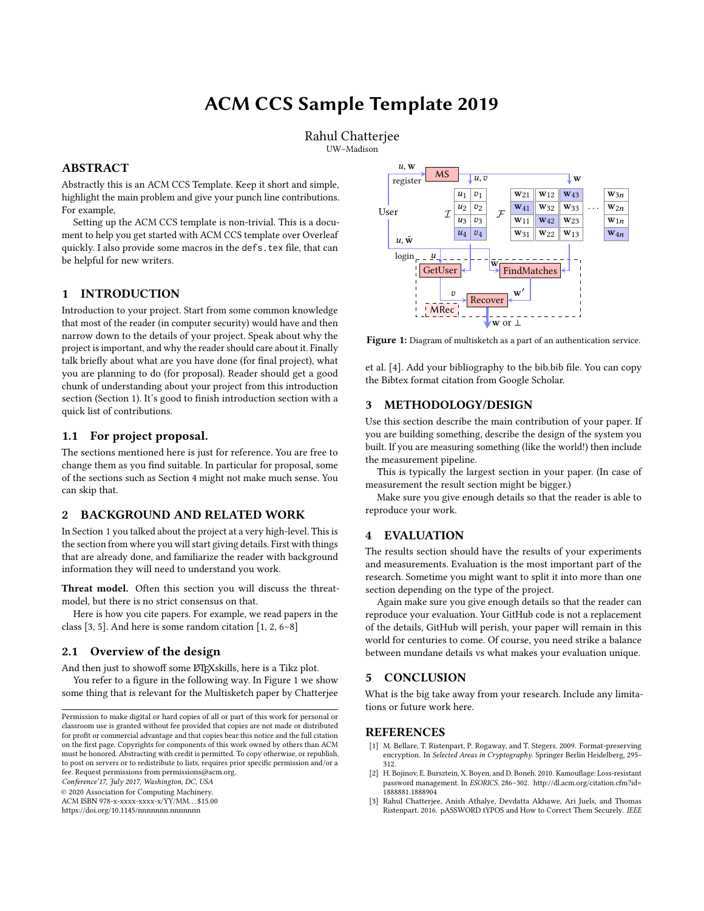# ACM CCS Sample Template 2019

Rahul Chatterjee UW–Madison

# ABSTRACT

Abstractly this is an ACM CCS Template. Keep it short and simple, highlight the main problem and give your punch line contributions. For example,

Setting up the ACM CCS template is non-trivial. This is a document to help you get started with ACM CCS template over Overleaf quickly. I also provide some macros in the defs.tex file, that can be helpful for new writers.

## <span id="page-0-0"></span>1 INTRODUCTION

Introduction to your project. Start from some common knowledge that most of the reader (in computer security) would have and then narrow down to the details of your project. Speak about why the project is important, and why the reader should care about it. Finally talk briefly about what are you have done (for final project), what you are planning to do (for proposal). Reader should get a good chunk of understanding about your project from this introduction section (Section [1\)](#page-0-0). It's good to finish introduction section with a quick list of contributions.

#### 1.1 For project proposal.

The sections mentioned here is just for reference. You are free to change them as you find suitable. In particular for proposal, some of the sections such as Section [4](#page-0-1) might not make much sense. You can skip that.

#### 2 BACKGROUND AND RELATED WORK

In Section [1](#page-0-0) you talked about the project at a very high-level. This is the section from where you will start giving details. First with things that are already done, and familiarize the reader with background information they will need to understand you work.

Threat model. Often this section you will discuss the threatmodel, but there is no strict consensus on that.

Here is how you cite papers. For example, we read papers in the class [\[3,](#page-0-2) [5\]](#page-1-0). And here is some random citation [\[1,](#page-0-3) [2,](#page-0-4) [6](#page-1-1)[–8\]](#page-1-2)

## 2.1 Overview of the design

And then just to showoff some LATEX skills, here is a Tikz plot.

You refer to a figure in the following way. In Figure [1](#page-0-5) we show some thing that is relevant for the Multisketch paper by Chatterjee

Conference'17, July 2017, Washington, DC, USA

© 2020 Association for Computing Machinery.

ACM ISBN 978-x-xxxx-xxxx-x/YY/MM. . . \$15.00

<https://doi.org/10.1145/nnnnnnn.nnnnnnn>

<span id="page-0-5"></span>

Figure 1: Diagram of multisketch as a part of an authentication service.

et al. [\[4\]](#page-1-3). Add your bibliography to the bib.bib file. You can copy the Bibtex format citation from Google Scholar.

## 3 METHODOLOGY/DESIGN

Use this section describe the main contribution of your paper. If you are building something, describe the design of the system you built. If you are measuring something (like the world!) then include the measurement pipeline.

This is typically the largest section in your paper. (In case of measurement the result section might be bigger.)

Make sure you give enough details so that the reader is able to reproduce your work.

#### <span id="page-0-1"></span>4 EVALUATION

The results section should have the results of your experiments and measurements. Evaluation is the most important part of the research. Sometime you might want to split it into more than one section depending on the type of the project.

Again make sure you give enough details so that the reader can reproduce your evaluation. Your GitHub code is not a replacement of the details, GitHub will perish, your paper will remain in this world for centuries to come. Of course, you need strike a balance between mundane details vs what makes your evaluation unique.

## 5 CONCLUSION

What is the big take away from your research. Include any limitations or future work here.

### **REFERENCES**

- <span id="page-0-3"></span>[1] M. Bellare, T. Ristenpart, P. Rogaway, and T. Stegers. 2009. Format-preserving encryption. In Selected Areas in Cryptography. Springer Berlin Heidelberg, 295-312.
- <span id="page-0-4"></span>[2] H. Bojinov, E. Bursztein, X. Boyen, and D. Boneh. 2010. Kamouflage: Loss-resistant password management. In ESORICS. 286–302. [http://dl.acm.org/citation.cfm?id=](http://dl.acm.org/citation.cfm?id=1888881.1888904) [1888881.1888904](http://dl.acm.org/citation.cfm?id=1888881.1888904)
- <span id="page-0-2"></span>[3] Rahul Chatterjee, Anish Athalye, Devdatta Akhawe, Ari Juels, and Thomas Ristenpart. 2016. pASSWORD tYPOS and How to Correct Them Securely. IEEE

Permission to make digital or hard copies of all or part of this work for personal or classroom use is granted without fee provided that copies are not made or distributed for profit or commercial advantage and that copies bear this notice and the full citation on the first page. Copyrights for components of this work owned by others than ACM must be honored. Abstracting with credit is permitted. To copy otherwise, or republish, to post on servers or to redistribute to lists, requires prior specific permission and/or a fee. Request permissions from permissions@acm.org.